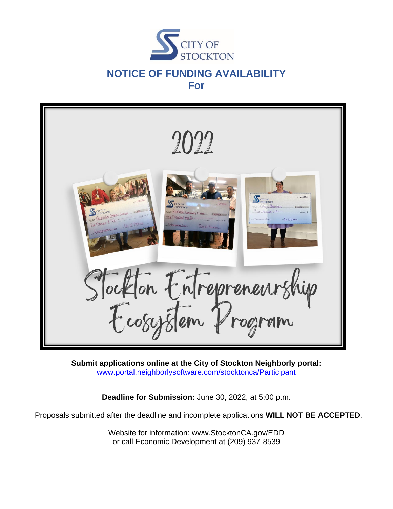



**Submit applications online at the City of Stockton Neighborly portal:** [www.portal.neighborlysoftware.com/stocktonca/Participant](https://portal.neighborlysoftware.com/stocktonca/Participant#)

**Deadline for Submission:** June 30, 2022, at 5:00 p.m.

Proposals submitted after the deadline and incomplete applications **WILL NOT BE ACCEPTED**.

Website for information: www.StocktonCA.gov/EDD or call Economic Development at (209) 937-8539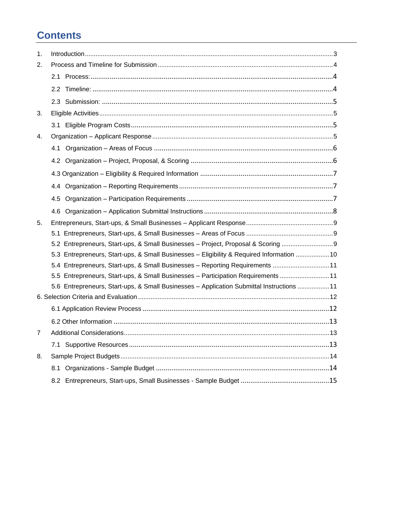# **Contents**

| 1. |                                                                                           |
|----|-------------------------------------------------------------------------------------------|
| 2. |                                                                                           |
|    |                                                                                           |
|    |                                                                                           |
|    |                                                                                           |
| 3. |                                                                                           |
|    |                                                                                           |
| 4. |                                                                                           |
|    |                                                                                           |
|    |                                                                                           |
|    |                                                                                           |
|    |                                                                                           |
|    |                                                                                           |
|    |                                                                                           |
| 5. |                                                                                           |
|    |                                                                                           |
|    | 5.2 Entrepreneurs, Start-ups, & Small Businesses - Project, Proposal & Scoring            |
|    | 5.3 Entrepreneurs, Start-ups, & Small Businesses - Eligibility & Required Information  10 |
|    | 5.4 Entrepreneurs, Start-ups, & Small Businesses - Reporting Requirements 11              |
|    | 5.5 Entrepreneurs, Start-ups, & Small Businesses - Participation Requirements 11          |
|    | 5.6 Entrepreneurs, Start-ups, & Small Businesses - Application Submittal Instructions 11  |
|    |                                                                                           |
|    |                                                                                           |
|    |                                                                                           |
| 7  |                                                                                           |
|    |                                                                                           |
| 8. |                                                                                           |
|    |                                                                                           |
|    |                                                                                           |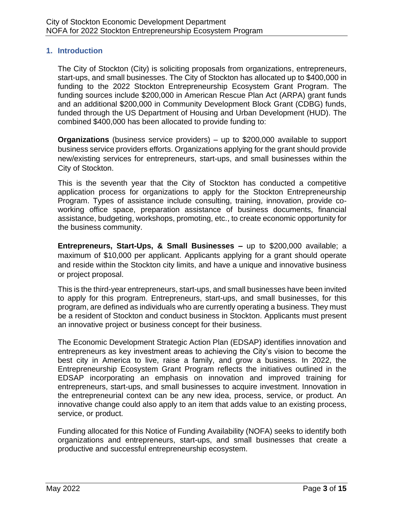#### <span id="page-2-0"></span>**1. Introduction**

The City of Stockton (City) is soliciting proposals from organizations, entrepreneurs, start-ups, and small businesses. The City of Stockton has allocated up to \$400,000 in funding to the 2022 Stockton Entrepreneurship Ecosystem Grant Program. The funding sources include \$200,000 in American Rescue Plan Act (ARPA) grant funds and an additional \$200,000 in Community Development Block Grant (CDBG) funds, funded through the US Department of Housing and Urban Development (HUD). The combined \$400,000 has been allocated to provide funding to:

**Organizations** (business service providers) – up to \$200,000 available to support business service providers efforts. Organizations applying for the grant should provide new/existing services for entrepreneurs, start-ups, and small businesses within the City of Stockton.

This is the seventh year that the City of Stockton has conducted a competitive application process for organizations to apply for the Stockton Entrepreneurship Program. Types of assistance include consulting, training, innovation, provide coworking office space, preparation assistance of business documents, financial assistance, budgeting, workshops, promoting, etc., to create economic opportunity for the business community.

**Entrepreneurs, Start-Ups, & Small Businesses –** up to \$200,000 available; a maximum of \$10,000 per applicant. Applicants applying for a grant should operate and reside within the Stockton city limits, and have a unique and innovative business or project proposal.

This is the third-year entrepreneurs, start-ups, and small businesses have been invited to apply for this program. Entrepreneurs, start-ups, and small businesses, for this program, are defined as individuals who are currently operating a business. They must be a resident of Stockton and conduct business in Stockton. Applicants must present an innovative project or business concept for their business.

The Economic Development Strategic Action Plan (EDSAP) identifies innovation and entrepreneurs as key investment areas to achieving the City's vision to become the best city in America to live, raise a family, and grow a business. In 2022, the Entrepreneurship Ecosystem Grant Program reflects the initiatives outlined in the EDSAP incorporating an emphasis on innovation and improved training for entrepreneurs, start-ups, and small businesses to acquire investment. Innovation in the entrepreneurial context can be any new idea, process, service, or product. An innovative change could also apply to an item that adds value to an existing process, service, or product.

Funding allocated for this Notice of Funding Availability (NOFA) seeks to identify both organizations and entrepreneurs, start-ups, and small businesses that create a productive and successful entrepreneurship ecosystem.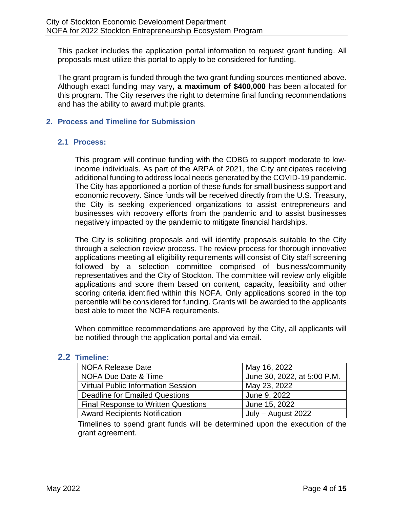This packet includes the application portal information to request grant funding. All proposals must utilize this portal to apply to be considered for funding.

The grant program is funded through the two grant funding sources mentioned above. Although exact funding may vary**, a maximum of \$400,000** has been allocated for this program. The City reserves the right to determine final funding recommendations and has the ability to award multiple grants.

### <span id="page-3-0"></span>**2. Process and Timeline for Submission**

#### <span id="page-3-1"></span>**2.1 Process:**

This program will continue funding with the CDBG to support moderate to lowincome individuals. As part of the ARPA of 2021, the City anticipates receiving additional funding to address local needs generated by the COVID‐19 pandemic. The City has apportioned a portion of these funds for small business support and economic recovery. Since funds will be received directly from the U.S. Treasury, the City is seeking experienced organizations to assist entrepreneurs and businesses with recovery efforts from the pandemic and to assist businesses negatively impacted by the pandemic to mitigate financial hardships.

The City is soliciting proposals and will identify proposals suitable to the City through a selection review process. The review process for thorough innovative applications meeting all eligibility requirements will consist of City staff screening followed by a selection committee comprised of business/community representatives and the City of Stockton. The committee will review only eligible applications and score them based on content, capacity, feasibility and other scoring criteria identified within this NOFA. Only applications scored in the top percentile will be considered for funding. Grants will be awarded to the applicants best able to meet the NOFA requirements.

When committee recommendations are approved by the City, all applicants will be notified through the application portal and via email.

#### <span id="page-3-2"></span>**2.2 Timeline:**

| NOFA Release Date                          | May 16, 2022                |
|--------------------------------------------|-----------------------------|
| NOFA Due Date & Time                       | June 30, 2022, at 5:00 P.M. |
| <b>Virtual Public Information Session</b>  | May 23, 2022                |
| Deadline for Emailed Questions             | June 9, 2022                |
| <b>Final Response to Written Questions</b> | June 15, 2022               |
| <b>Award Recipients Notification</b>       | July – August 2022          |

Timelines to spend grant funds will be determined upon the execution of the grant agreement.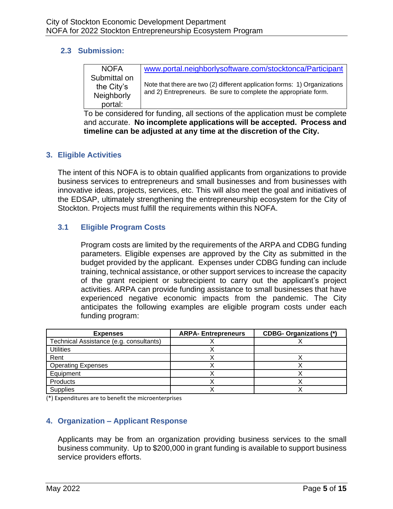#### <span id="page-4-0"></span>**2.3 Submission:**

| <b>NOFA</b>  | www.portal.neighborlysoftware.com/stocktonca/Participant                                                                                     |
|--------------|----------------------------------------------------------------------------------------------------------------------------------------------|
| Submittal on |                                                                                                                                              |
| the City's   | Note that there are two (2) different application forms: 1) Organizations<br>and 2) Entrepreneurs. Be sure to complete the appropriate form. |
| Neighborly   |                                                                                                                                              |
| portal:      |                                                                                                                                              |

To be considered for funding, all sections of the application must be complete and accurate. **No incomplete applications will be accepted. Process and timeline can be adjusted at any time at the discretion of the City.**

### <span id="page-4-1"></span>**3. Eligible Activities**

The intent of this NOFA is to obtain qualified applicants from organizations to provide business services to entrepreneurs and small businesses and from businesses with innovative ideas, projects, services, etc. This will also meet the goal and initiatives of the EDSAP, ultimately strengthening the entrepreneurship ecosystem for the City of Stockton. Projects must fulfill the requirements within this NOFA.

### <span id="page-4-2"></span>**3.1 Eligible Program Costs**

Program costs are limited by the requirements of the ARPA and CDBG funding parameters. Eligible expenses are approved by the City as submitted in the budget provided by the applicant. Expenses under CDBG funding can include training, technical assistance, or other support services to increase the capacity of the grant recipient or subrecipient to carry out the applicant's project activities. ARPA can provide funding assistance to small businesses that have experienced negative economic impacts from the pandemic. The City anticipates the following examples are eligible program costs under each funding program:

| <b>Expenses</b>                         | <b>ARPA-Entrepreneurs</b> | <b>CDBG- Organizations (*)</b> |
|-----------------------------------------|---------------------------|--------------------------------|
| Technical Assistance (e.g. consultants) |                           |                                |
| <b>Utilities</b>                        |                           |                                |
| Rent                                    |                           |                                |
| <b>Operating Expenses</b>               |                           |                                |
| Equipment                               |                           |                                |
| Products                                |                           |                                |
| <b>Supplies</b>                         |                           |                                |

(\*) Expenditures are to benefit the microenterprises

### <span id="page-4-3"></span>**4. Organization – Applicant Response**

Applicants may be from an organization providing business services to the small business community. Up to \$200,000 in grant funding is available to support business service providers efforts.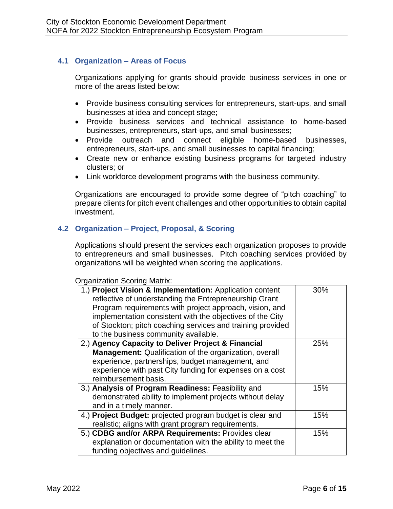### <span id="page-5-0"></span>**4.1 Organization – Areas of Focus**

Organizations applying for grants should provide business services in one or more of the areas listed below:

- Provide business consulting services for entrepreneurs, start-ups, and small businesses at idea and concept stage;
- Provide business services and technical assistance to home-based businesses, entrepreneurs, start-ups, and small businesses;
- Provide outreach and connect eligible home-based businesses, entrepreneurs, start-ups, and small businesses to capital financing;
- Create new or enhance existing business programs for targeted industry clusters; or
- Link workforce development programs with the business community.

Organizations are encouraged to provide some degree of "pitch coaching" to prepare clients for pitch event challenges and other opportunities to obtain capital investment.

### <span id="page-5-1"></span>**4.2 Organization – Project, Proposal, & Scoring**

Applications should present the services each organization proposes to provide to entrepreneurs and small businesses. Pitch coaching services provided by organizations will be weighted when scoring the applications.

#### Organization Scoring Matrix:

| 1.) Project Vision & Implementation: Application content<br>reflective of understanding the Entrepreneurship Grant<br>Program requirements with project approach, vision, and<br>implementation consistent with the objectives of the City<br>of Stockton; pitch coaching services and training provided<br>to the business community available. | 30% |
|--------------------------------------------------------------------------------------------------------------------------------------------------------------------------------------------------------------------------------------------------------------------------------------------------------------------------------------------------|-----|
| 2.) Agency Capacity to Deliver Project & Financial<br>Management: Qualification of the organization, overall<br>experience, partnerships, budget management, and<br>experience with past City funding for expenses on a cost<br>reimbursement basis.                                                                                             | 25% |
| 3.) Analysis of Program Readiness: Feasibility and<br>demonstrated ability to implement projects without delay<br>and in a timely manner.                                                                                                                                                                                                        | 15% |
| 4.) Project Budget: projected program budget is clear and<br>realistic; aligns with grant program requirements.                                                                                                                                                                                                                                  | 15% |
| 5.) CDBG and/or ARPA Requirements: Provides clear<br>explanation or documentation with the ability to meet the<br>funding objectives and guidelines.                                                                                                                                                                                             | 15% |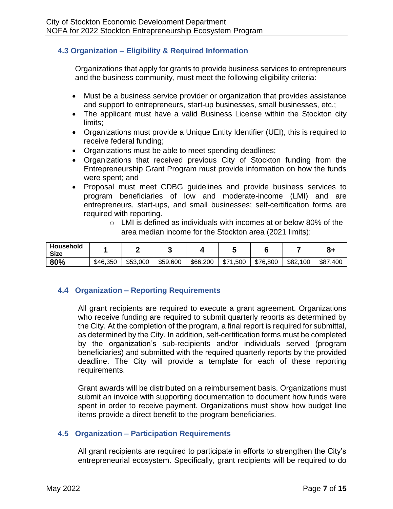### <span id="page-6-0"></span>**4.3 Organization – Eligibility & Required Information**

Organizations that apply for grants to provide business services to entrepreneurs and the business community, must meet the following eligibility criteria:

- Must be a business service provider or organization that provides assistance and support to entrepreneurs, start-up businesses, small businesses, etc.;
- The applicant must have a valid Business License within the Stockton city limits;
- Organizations must provide a Unique Entity Identifier (UEI), this is required to receive federal funding;
- Organizations must be able to meet spending deadlines;
- Organizations that received previous City of Stockton funding from the Entrepreneurship Grant Program must provide information on how the funds were spent; and
- Proposal must meet CDBG guidelines and provide business services to program beneficiaries of low and moderate-income (LMI) and are entrepreneurs, start-ups, and small businesses; self-certification forms are required with reporting.
	- o LMI is defined as individuals with incomes at or below 80% of the area median income for the Stockton area (2021 limits):

| Household<br><b>Size</b> |          |          |          |          |               |          |               | О<br>O٦      |
|--------------------------|----------|----------|----------|----------|---------------|----------|---------------|--------------|
| 80%                      | \$46,350 | \$53,000 | \$59,600 | \$66,200 | \$71<br>1,500 | \$76,800 | \$82,<br>.100 | \$87<br>.400 |

### <span id="page-6-1"></span>**4.4 Organization – Reporting Requirements**

All grant recipients are required to execute a grant agreement. Organizations who receive funding are required to submit quarterly reports as determined by the City. At the completion of the program, a final report is required for submittal, as determined by the City. In addition, self-certification forms must be completed by the organization's sub-recipients and/or individuals served (program beneficiaries) and submitted with the required quarterly reports by the provided deadline. The City will provide a template for each of these reporting requirements.

Grant awards will be distributed on a reimbursement basis. Organizations must submit an invoice with supporting documentation to document how funds were spent in order to receive payment. Organizations must show how budget line items provide a direct benefit to the program beneficiaries.

### <span id="page-6-2"></span>**4.5 Organization – Participation Requirements**

All grant recipients are required to participate in efforts to strengthen the City's entrepreneurial ecosystem. Specifically, grant recipients will be required to do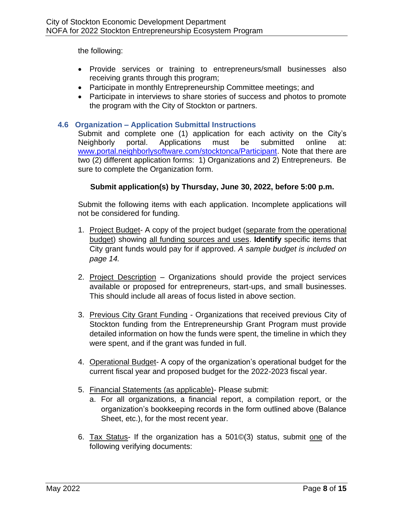the following:

- Provide services or training to entrepreneurs/small businesses also receiving grants through this program;
- Participate in monthly Entrepreneurship Committee meetings; and
- Participate in interviews to share stories of success and photos to promote the program with the City of Stockton or partners.

### <span id="page-7-0"></span>**4.6 Organization – Application Submittal Instructions**

Submit and complete one (1) application for each activity on the City's Neighborly portal. Applications must be submitted online at: [www.portal.neighborlysoftware.com/stocktonca/Participant.](http://www.portal.neighborlysoftware.com/stocktonca/Participant) Note that there are two (2) different application forms: 1) Organizations and 2) Entrepreneurs. Be sure to complete the Organization form.

### **Submit application(s) by Thursday, June 30, 2022, before 5:00 p.m.**

Submit the following items with each application. Incomplete applications will not be considered for funding.

- 1. Project Budget- A copy of the project budget (separate from the operational budget) showing all funding sources and uses. **Identify** specific items that City grant funds would pay for if approved. *A sample budget is included on page 14.*
- 2. Project Description Organizations should provide the project services available or proposed for entrepreneurs, start-ups, and small businesses. This should include all areas of focus listed in above section.
- 3. Previous City Grant Funding Organizations that received previous City of Stockton funding from the Entrepreneurship Grant Program must provide detailed information on how the funds were spent, the timeline in which they were spent, and if the grant was funded in full.
- 4. Operational Budget- A copy of the organization's operational budget for the current fiscal year and proposed budget for the 2022-2023 fiscal year.
- 5. Financial Statements (as applicable)- Please submit:
	- a. For all organizations, a financial report, a compilation report, or the organization's bookkeeping records in the form outlined above (Balance Sheet, etc.), for the most recent year.
- 6. Tax Status- If the organization has a 501©(3) status, submit one of the following verifying documents: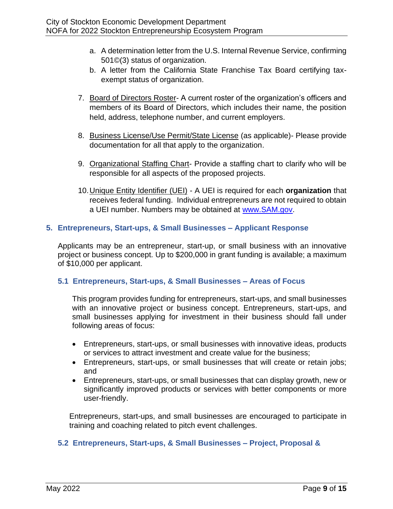- a. A determination letter from the U.S. Internal Revenue Service, confirming 501©(3) status of organization.
- b. A letter from the California State Franchise Tax Board certifying taxexempt status of organization.
- 7. Board of Directors Roster- A current roster of the organization's officers and members of its Board of Directors, which includes their name, the position held, address, telephone number, and current employers.
- 8. Business License/Use Permit/State License (as applicable)- Please provide documentation for all that apply to the organization.
- 9. Organizational Staffing Chart- Provide a staffing chart to clarify who will be responsible for all aspects of the proposed projects.
- 10.Unique Entity Identifier (UEI) A UEI is required for each **organization** that receives federal funding. Individual entrepreneurs are not required to obtain a UEI number. Numbers may be obtained at [www.SAM.gov.](http://www.sam.gov/)

### <span id="page-8-0"></span>**5. Entrepreneurs, Start-ups, & Small Businesses – Applicant Response**

Applicants may be an entrepreneur, start-up, or small business with an innovative project or business concept. Up to \$200,000 in grant funding is available; a maximum of \$10,000 per applicant.

#### <span id="page-8-1"></span>**5.1 Entrepreneurs, Start-ups, & Small Businesses – Areas of Focus**

This program provides funding for entrepreneurs, start-ups, and small businesses with an innovative project or business concept. Entrepreneurs, start-ups, and small businesses applying for investment in their business should fall under following areas of focus:

- Entrepreneurs, start-ups, or small businesses with innovative ideas, products or services to attract investment and create value for the business;
- Entrepreneurs, start-ups, or small businesses that will create or retain jobs; and
- Entrepreneurs, start-ups, or small businesses that can display growth, new or significantly improved products or services with better components or more user-friendly.

Entrepreneurs, start-ups, and small businesses are encouraged to participate in training and coaching related to pitch event challenges.

### <span id="page-8-2"></span>**5.2 Entrepreneurs, Start-ups, & Small Businesses – Project, Proposal &**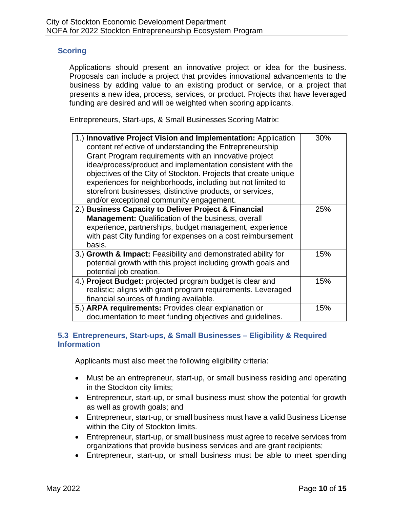#### **Scoring**

Applications should present an innovative project or idea for the business. Proposals can include a project that provides innovational advancements to the business by adding value to an existing product or service, or a project that presents a new idea, process, services, or product. Projects that have leveraged funding are desired and will be weighted when scoring applicants.

Entrepreneurs, Start-ups, & Small Businesses Scoring Matrix:

| 1.) Innovative Project Vision and Implementation: Application<br>content reflective of understanding the Entrepreneurship<br>Grant Program requirements with an innovative project<br>idea/process/product and implementation consistent with the<br>objectives of the City of Stockton. Projects that create unique<br>experiences for neighborhoods, including but not limited to<br>storefront businesses, distinctive products, or services,<br>and/or exceptional community engagement. | 30% |
|----------------------------------------------------------------------------------------------------------------------------------------------------------------------------------------------------------------------------------------------------------------------------------------------------------------------------------------------------------------------------------------------------------------------------------------------------------------------------------------------|-----|
| 2.) Business Capacity to Deliver Project & Financial<br><b>Management:</b> Qualification of the business, overall<br>experience, partnerships, budget management, experience<br>with past City funding for expenses on a cost reimbursement<br>basis.                                                                                                                                                                                                                                        | 25% |
| 3.) Growth & Impact: Feasibility and demonstrated ability for<br>potential growth with this project including growth goals and<br>potential job creation.                                                                                                                                                                                                                                                                                                                                    | 15% |
| 4.) Project Budget: projected program budget is clear and<br>realistic; aligns with grant program requirements. Leveraged<br>financial sources of funding available.                                                                                                                                                                                                                                                                                                                         | 15% |
| 5.) ARPA requirements: Provides clear explanation or<br>documentation to meet funding objectives and guidelines.                                                                                                                                                                                                                                                                                                                                                                             | 15% |

#### <span id="page-9-0"></span>**5.3 Entrepreneurs, Start-ups, & Small Businesses – Eligibility & Required Information**

Applicants must also meet the following eligibility criteria:

- Must be an entrepreneur, start-up, or small business residing and operating in the Stockton city limits;
- Entrepreneur, start-up, or small business must show the potential for growth as well as growth goals; and
- Entrepreneur, start-up, or small business must have a valid Business License within the City of Stockton limits.
- Entrepreneur, start-up, or small business must agree to receive services from organizations that provide business services and are grant recipients;
- Entrepreneur, start-up, or small business must be able to meet spending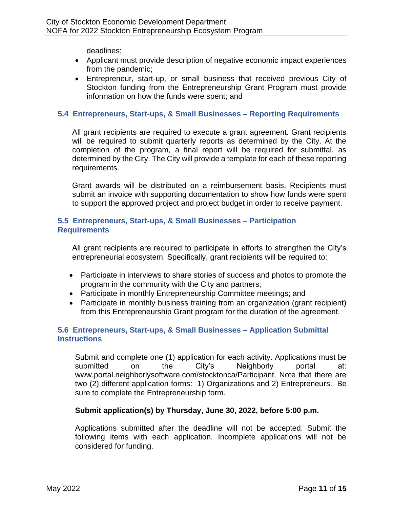deadlines;

- Applicant must provide description of negative economic impact experiences from the pandemic;
- Entrepreneur, start-up, or small business that received previous City of Stockton funding from the Entrepreneurship Grant Program must provide information on how the funds were spent; and

### <span id="page-10-0"></span>**5.4 Entrepreneurs, Start-ups, & Small Businesses – Reporting Requirements**

All grant recipients are required to execute a grant agreement. Grant recipients will be required to submit quarterly reports as determined by the City. At the completion of the program, a final report will be required for submittal, as determined by the City. The City will provide a template for each of these reporting requirements.

Grant awards will be distributed on a reimbursement basis. Recipients must submit an invoice with supporting documentation to show how funds were spent to support the approved project and project budget in order to receive payment.

#### <span id="page-10-1"></span>**5.5 Entrepreneurs, Start-ups, & Small Businesses – Participation Requirements**

All grant recipients are required to participate in efforts to strengthen the City's entrepreneurial ecosystem. Specifically, grant recipients will be required to:

- Participate in interviews to share stories of success and photos to promote the program in the community with the City and partners;
- Participate in monthly Entrepreneurship Committee meetings; and
- Participate in monthly business training from an organization (grant recipient) from this Entrepreneurship Grant program for the duration of the agreement.

### <span id="page-10-2"></span>**5.6 Entrepreneurs, Start-ups, & Small Businesses – Application Submittal Instructions**

Submit and complete one (1) application for each activity. Applications must be submitted on the City's Neighborly portal at: www.portal.neighborlysoftware.com/stocktonca/Participant. Note that there are two (2) different application forms: 1) Organizations and 2) Entrepreneurs. Be sure to complete the Entrepreneurship form.

### **Submit application(s) by Thursday, June 30, 2022, before 5:00 p.m.**

Applications submitted after the deadline will not be accepted. Submit the following items with each application. Incomplete applications will not be considered for funding.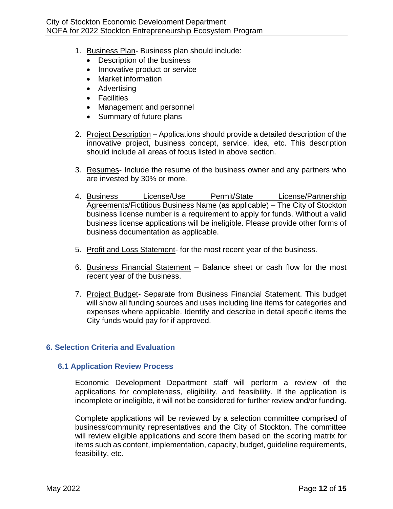- 1. Business Plan- Business plan should include:
	- Description of the business
	- Innovative product or service
	- Market information
	- Advertising
	- Facilities
	- Management and personnel
	- Summary of future plans
- 2. Project Description Applications should provide a detailed description of the innovative project, business concept, service, idea, etc. This description should include all areas of focus listed in above section.
- 3. Resumes- Include the resume of the business owner and any partners who are invested by 30% or more.
- 4. Business License/Use Permit/State License/Partnership Agreements/Fictitious Business Name (as applicable) – The City of Stockton business license number is a requirement to apply for funds. Without a valid business license applications will be ineligible. Please provide other forms of business documentation as applicable.
- 5. Profit and Loss Statement- for the most recent year of the business.
- 6. Business Financial Statement Balance sheet or cash flow for the most recent year of the business.
- 7. Project Budget- Separate from Business Financial Statement. This budget will show all funding sources and uses including line items for categories and expenses where applicable. Identify and describe in detail specific items the City funds would pay for if approved.

#### <span id="page-11-0"></span>**6. Selection Criteria and Evaluation**

#### <span id="page-11-1"></span>**6.1 Application Review Process**

Economic Development Department staff will perform a review of the applications for completeness, eligibility, and feasibility. If the application is incomplete or ineligible, it will not be considered for further review and/or funding.

Complete applications will be reviewed by a selection committee comprised of business/community representatives and the City of Stockton. The committee will review eligible applications and score them based on the scoring matrix for items such as content, implementation, capacity, budget, guideline requirements, feasibility, etc.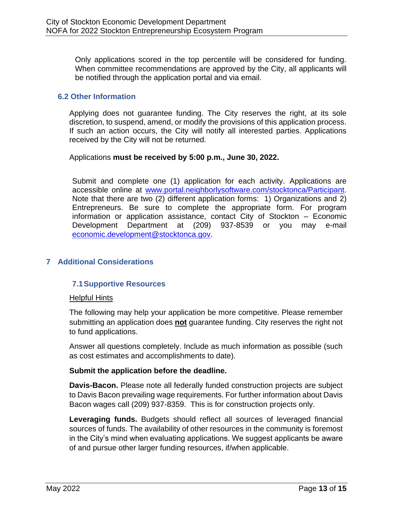Only applications scored in the top percentile will be considered for funding. When committee recommendations are approved by the City, all applicants will be notified through the application portal and via email.

#### <span id="page-12-0"></span>**6.2 Other Information**

Applying does not guarantee funding. The City reserves the right, at its sole discretion, to suspend, amend, or modify the provisions of this application process. If such an action occurs, the City will notify all interested parties. Applications received by the City will not be returned.

#### Applications **must be received by 5:00 p.m., June 30, 2022.**

Submit and complete one (1) application for each activity. Applications are accessible online at [www.portal.neighborlysoftware.com/stocktonca/Participant.](http://www.portal.neighborlysoftware.com/stocktonca/Participant) Note that there are two (2) different application forms: 1) Organizations and 2) Entrepreneurs. Be sure to complete the appropriate form. For program information or application assistance, contact City of Stockton – Economic Development Department at (209) 937-8539 or you may e-mail [economic.development@stocktonca.gov.](mailto:economic.development@stocktonca.gov)

#### <span id="page-12-2"></span><span id="page-12-1"></span>**7 Additional Considerations**

#### **7.1Supportive Resources**

#### Helpful Hints

The following may help your application be more competitive. Please remember submitting an application does **not** guarantee funding. City reserves the right not to fund applications.

Answer all questions completely. Include as much information as possible (such as cost estimates and accomplishments to date).

#### **Submit the application before the deadline.**

**Davis-Bacon.** Please note all federally funded construction projects are subject to Davis Bacon prevailing wage requirements. For further information about Davis Bacon wages call (209) 937-8359. This is for construction projects only.

**Leveraging funds.** Budgets should reflect all sources of leveraged financial sources of funds. The availability of other resources in the community is foremost in the City's mind when evaluating applications. We suggest applicants be aware of and pursue other larger funding resources, if/when applicable.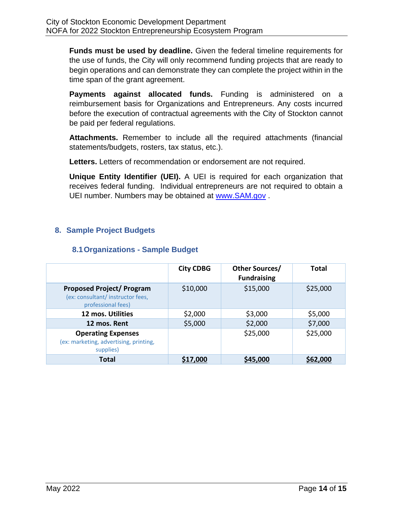**Funds must be used by deadline.** Given the federal timeline requirements for the use of funds, the City will only recommend funding projects that are ready to begin operations and can demonstrate they can complete the project within in the time span of the grant agreement.

**Payments against allocated funds.** Funding is administered on a reimbursement basis for Organizations and Entrepreneurs. Any costs incurred before the execution of contractual agreements with the City of Stockton cannot be paid per federal regulations.

**Attachments.** Remember to include all the required attachments (financial statements/budgets, rosters, tax status, etc.).

**Letters.** Letters of recommendation or endorsement are not required.

**Unique Entity Identifier (UEI).** A UEI is required for each organization that receives federal funding. Individual entrepreneurs are not required to obtain a UEI number. Numbers may be obtained at [www.SAM.gov](http://www.sam.gov/) .

## <span id="page-13-0"></span>**8. Sample Project Budgets**

### **8.1Organizations - Sample Budget**

<span id="page-13-1"></span>

|                                                                                            | <b>City CDBG</b> | Other Sources/<br><b>Fundraising</b> | <b>Total</b> |
|--------------------------------------------------------------------------------------------|------------------|--------------------------------------|--------------|
| <b>Proposed Project/ Program</b><br>(ex: consultant/instructor fees,<br>professional fees) | \$10,000         | \$15,000                             | \$25,000     |
| 12 mos. Utilities                                                                          | \$2,000          | \$3,000                              | \$5,000      |
| 12 mos. Rent                                                                               | \$5,000          | \$2,000                              | \$7,000      |
| <b>Operating Expenses</b><br>(ex: marketing, advertising, printing,<br>supplies)           |                  | \$25,000                             | \$25,000     |
| <b>Total</b>                                                                               | \$17,000         | \$45,000                             | \$62,000     |